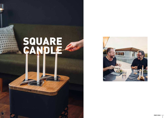## SQUARE CA

**hidas**